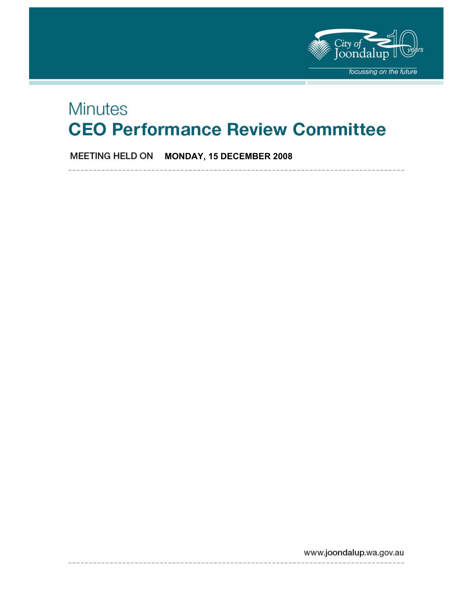

# **Minutes CEO Performance Review Committee**

**MEETING HELD ON MONDAY, 15 DECEMBER 2008** 

www.joondalup.wa.gov.au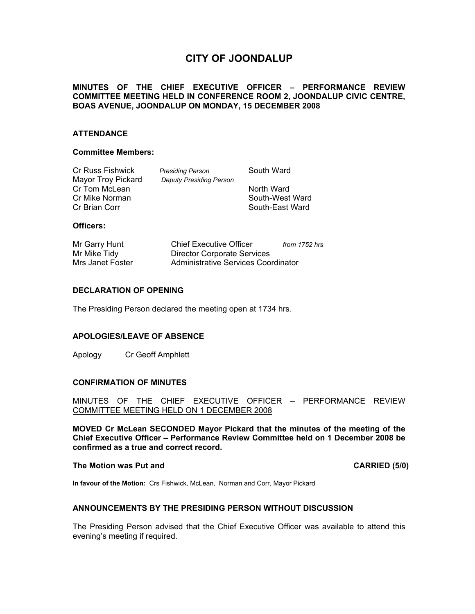# **CITY OF JOONDALUP**

# **MINUTES OF THE CHIEF EXECUTIVE OFFICER – PERFORMANCE REVIEW COMMITTEE MEETING HELD IN CONFERENCE ROOM 2, JOONDALUP CIVIC CENTRE, BOAS AVENUE, JOONDALUP ON MONDAY, 15 DECEMBER 2008**

## **ATTENDANCE**

#### **Committee Members:**

| Cr Russ Fishwick   | <b>Presiding Person</b>        | South Ward      |
|--------------------|--------------------------------|-----------------|
| Mayor Troy Pickard | <b>Deputy Presiding Person</b> |                 |
| Cr Tom McLean      |                                | North Ward      |
| Cr Mike Norman     |                                | South-West Ward |
| Cr Brian Corr      |                                | South-East Ward |
|                    |                                |                 |

#### **Officers:**

| Mr Garry Hunt    | <b>Chief Executive Officer</b>      | from 1752 hrs |
|------------------|-------------------------------------|---------------|
| Mr Mike Tidy     | <b>Director Corporate Services</b>  |               |
| Mrs Janet Foster | Administrative Services Coordinator |               |

#### **DECLARATION OF OPENING**

The Presiding Person declared the meeting open at 1734 hrs.

#### **APOLOGIES/LEAVE OF ABSENCE**

Apology Cr Geoff Amphlett

#### **CONFIRMATION OF MINUTES**

#### MINUTES OF THE CHIEF EXECUTIVE OFFICER – PERFORMANCE REVIEW COMMITTEE MEETING HELD ON 1 DECEMBER 2008

**MOVED Cr McLean SECONDED Mayor Pickard that the minutes of the meeting of the Chief Executive Officer – Performance Review Committee held on 1 December 2008 be confirmed as a true and correct record.** 

#### **The Motion was Put and CARRIED (5/0) CARRIED (5/0)**

**In favour of the Motion:** Crs Fishwick, McLean, Norman and Corr, Mayor Pickard

#### **ANNOUNCEMENTS BY THE PRESIDING PERSON WITHOUT DISCUSSION**

The Presiding Person advised that the Chief Executive Officer was available to attend this evening's meeting if required.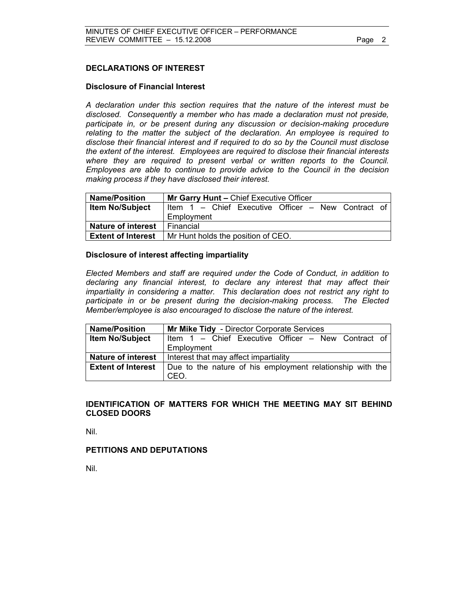# **DECLARATIONS OF INTEREST**

#### **Disclosure of Financial Interest**

*A declaration under this section requires that the nature of the interest must be disclosed. Consequently a member who has made a declaration must not preside, participate in, or be present during any discussion or decision-making procedure relating to the matter the subject of the declaration. An employee is required to disclose their financial interest and if required to do so by the Council must disclose the extent of the interest. Employees are required to disclose their financial interests where they are required to present verbal or written reports to the Council. Employees are able to continue to provide advice to the Council in the decision making process if they have disclosed their interest.* 

| <b>Name/Position</b>      | Mr Garry Hunt - Chief Executive Officer            |
|---------------------------|----------------------------------------------------|
| <b>Item No/Subject</b>    | Item 1 - Chief Executive Officer - New Contract of |
|                           | Employment                                         |
| <b>Nature of interest</b> | Financial                                          |
| <b>Extent of Interest</b> | Mr Hunt holds the position of CEO.                 |

#### **Disclosure of interest affecting impartiality**

 *Elected Members and staff are required under the Code of Conduct, in addition to declaring any financial interest, to declare any interest that may affect their impartiality in considering a matter. This declaration does not restrict any right to participate in or be present during the decision-making process. The Elected Member/employee is also encouraged to disclose the nature of the interest.* 

| <b>Name/Position</b>      | Mr Mike Tidy - Director Corporate Services                        |
|---------------------------|-------------------------------------------------------------------|
| <b>Item No/Subject</b>    | Item 1 – Chief Executive Officer – New Contract of                |
|                           | Employment                                                        |
| <b>Nature of interest</b> | Interest that may affect impartiality                             |
| <b>Extent of Interest</b> | Due to the nature of his employment relationship with the<br>CEO. |

## **IDENTIFICATION OF MATTERS FOR WHICH THE MEETING MAY SIT BEHIND CLOSED DOORS**

Nil.

#### **PETITIONS AND DEPUTATIONS**

Nil.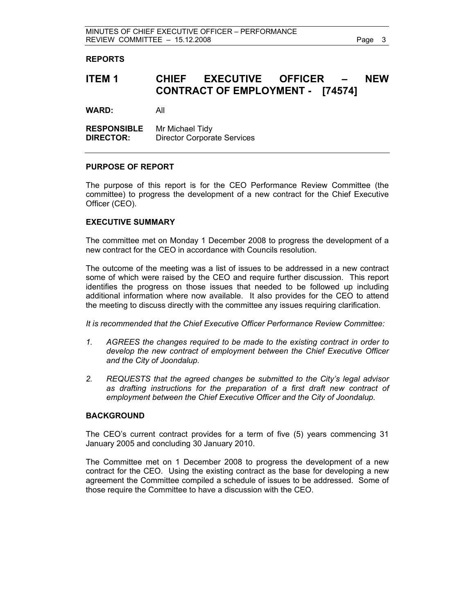#### **REPORTS**

# **ITEM 1 CHIEF EXECUTIVE OFFICER – NEW CONTRACT OF EMPLOYMENT - [74574]**

**WARD:** All

**RESPONSIBLE** Mr Michael Tidy **DIRECTOR:** Director Corporate Services

#### **PURPOSE OF REPORT**

The purpose of this report is for the CEO Performance Review Committee (the committee) to progress the development of a new contract for the Chief Executive Officer (CEO).

#### **EXECUTIVE SUMMARY**

The committee met on Monday 1 December 2008 to progress the development of a new contract for the CEO in accordance with Councils resolution.

The outcome of the meeting was a list of issues to be addressed in a new contract some of which were raised by the CEO and require further discussion. This report identifies the progress on those issues that needed to be followed up including additional information where now available. It also provides for the CEO to attend the meeting to discuss directly with the committee any issues requiring clarification.

*It is recommended that the Chief Executive Officer Performance Review Committee:* 

- *1. AGREES the changes required to be made to the existing contract in order to develop the new contract of employment between the Chief Executive Officer and the City of Joondalup.*
- *2. REQUESTS that the agreed changes be submitted to the City's legal advisor as drafting instructions for the preparation of a first draft new contract of employment between the Chief Executive Officer and the City of Joondalup.*

#### **BACKGROUND**

The CEO's current contract provides for a term of five (5) years commencing 31 January 2005 and concluding 30 January 2010.

The Committee met on 1 December 2008 to progress the development of a new contract for the CEO. Using the existing contract as the base for developing a new agreement the Committee compiled a schedule of issues to be addressed. Some of those require the Committee to have a discussion with the CEO.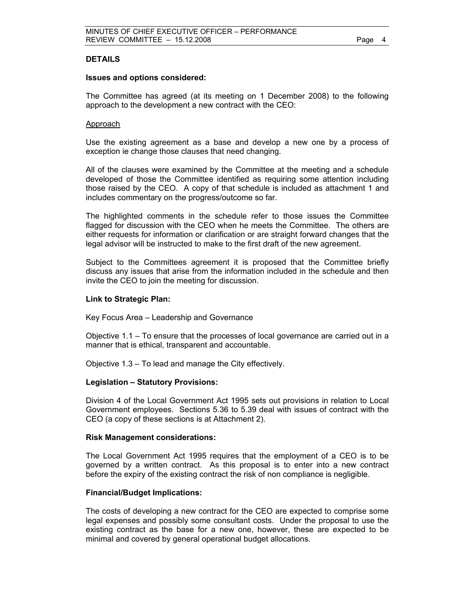#### **DETAILS**

#### **Issues and options considered:**

The Committee has agreed (at its meeting on 1 December 2008) to the following approach to the development a new contract with the CEO:

#### Approach

Use the existing agreement as a base and develop a new one by a process of exception ie change those clauses that need changing.

All of the clauses were examined by the Committee at the meeting and a schedule developed of those the Committee identified as requiring some attention including those raised by the CEO. A copy of that schedule is included as attachment 1 and includes commentary on the progress/outcome so far.

The highlighted comments in the schedule refer to those issues the Committee flagged for discussion with the CEO when he meets the Committee. The others are either requests for information or clarification or are straight forward changes that the legal advisor will be instructed to make to the first draft of the new agreement.

Subject to the Committees agreement it is proposed that the Committee briefly discuss any issues that arise from the information included in the schedule and then invite the CEO to join the meeting for discussion.

#### **Link to Strategic Plan:**

Key Focus Area – Leadership and Governance

Objective 1.1 – To ensure that the processes of local governance are carried out in a manner that is ethical, transparent and accountable.

Objective 1.3 – To lead and manage the City effectively.

#### **Legislation – Statutory Provisions:**

Division 4 of the Local Government Act 1995 sets out provisions in relation to Local Government employees. Sections 5.36 to 5.39 deal with issues of contract with the CEO (a copy of these sections is at Attachment 2).

#### **Risk Management considerations:**

The Local Government Act 1995 requires that the employment of a CEO is to be governed by a written contract. As this proposal is to enter into a new contract before the expiry of the existing contract the risk of non compliance is negligible.

#### **Financial/Budget Implications:**

The costs of developing a new contract for the CEO are expected to comprise some legal expenses and possibly some consultant costs. Under the proposal to use the existing contract as the base for a new one, however, these are expected to be minimal and covered by general operational budget allocations.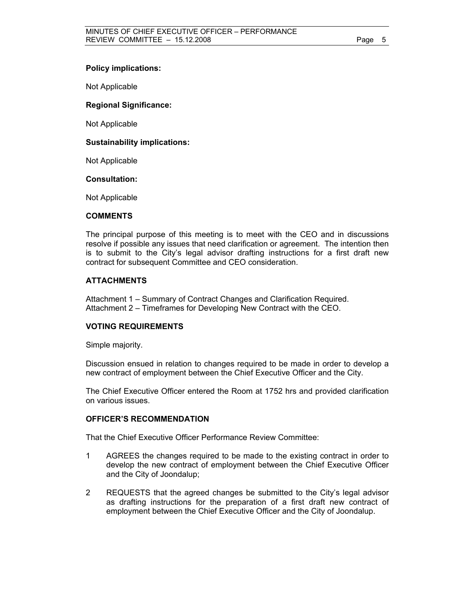#### **Policy implications:**

Not Applicable

#### **Regional Significance:**

Not Applicable

#### **Sustainability implications:**

Not Applicable

#### **Consultation:**

Not Applicable

#### **COMMENTS**

The principal purpose of this meeting is to meet with the CEO and in discussions resolve if possible any issues that need clarification or agreement. The intention then is to submit to the City's legal advisor drafting instructions for a first draft new contract for subsequent Committee and CEO consideration.

#### **ATTACHMENTS**

Attachment 1 – Summary of Contract Changes and Clarification Required. Attachment 2 – Timeframes for Developing New Contract with the CEO.

#### **VOTING REQUIREMENTS**

Simple majority.

Discussion ensued in relation to changes required to be made in order to develop a new contract of employment between the Chief Executive Officer and the City.

The Chief Executive Officer entered the Room at 1752 hrs and provided clarification on various issues.

#### **OFFICER'S RECOMMENDATION**

That the Chief Executive Officer Performance Review Committee:

- 1 AGREES the changes required to be made to the existing contract in order to develop the new contract of employment between the Chief Executive Officer and the City of Joondalup;
- 2 REQUESTS that the agreed changes be submitted to the City's legal advisor as drafting instructions for the preparation of a first draft new contract of employment between the Chief Executive Officer and the City of Joondalup.